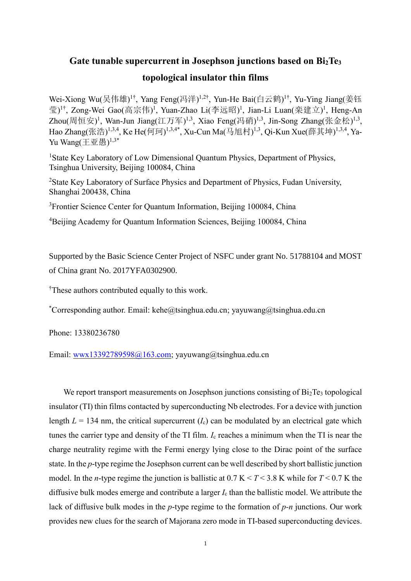## **Gate tunable supercurrent in Josephson junctions based on Bi2Te<sup>3</sup> topological insulator thin films**

Wei-Xiong Wu(吴伟雄)<sup>1†</sup>, Yang Feng(冯洋)<sup>1,2†</sup>, Yun-He Bai(白云鹤)<sup>1†</sup>, Yu-Ying Jiang(姜钰 莹)<sup>1†</sup>, Zong-Wei Gao(高宗伟)<sup>1</sup>, Yuan-Zhao Li(李远昭)<sup>1</sup>, Jian-Li Luan(栾建立)<sup>1</sup>, Heng-An Zhou(周恒安)<sup>1</sup>, Wan-Jun Jiang(江万军)<sup>1,3</sup>, Xiao Feng(冯硝)<sup>1,3</sup>, Jin-Song Zhang(张金松)<sup>1,3</sup>, Hao Zhang(张浩)<sup>1,3,4</sup>, Ke He(何珂)<sup>1,3,4\*</sup>, Xu-Cun Ma(马旭村)<sup>1,3</sup>, Qi-Kun Xue(薛其坤)<sup>1,3,4</sup>, Ya-Yu Wang $(\pm \overline{\mathbb{E}} \,\overline{\mathbb{B}})^{1,3^*}$ 

<sup>1</sup>State Key Laboratory of Low Dimensional Quantum Physics, Department of Physics, Tsinghua University, Beijing 100084, China

<sup>2</sup>State Key Laboratory of Surface Physics and Department of Physics, Fudan University, Shanghai 200438, China

<sup>3</sup>Frontier Science Center for Quantum Information, Beijing 100084, China

<sup>4</sup>Beijing Academy for Quantum Information Sciences, Beijing 100084, China

Supported by the Basic Science Center Project of NSFC under grant No. 51788104 and MOST of China grant No. 2017YFA0302900.

†These authors contributed equally to this work.

\*Corresponding author. Email: [kehe@tsinghua.edu.cn;](mailto:kehe@tsinghua.edu.cn) yayuwang@tsinghua.edu.cn

Phone: 13380236780

Email: [wwx13392789598@163.com;](mailto:wwx13392789598@163.com) yayuwang@tsinghua.edu.cn

We report transport measurements on Josephson junctions consisting of  $Bi<sub>2</sub>Te<sub>3</sub>$  topological insulator (TI) thin films contacted by superconducting Nb electrodes. For a device with junction length  $L = 134$  nm, the critical supercurrent  $(I_c)$  can be modulated by an electrical gate which tunes the carrier type and density of the TI film. *I*<sup>c</sup> reaches a minimum when the TI is near the charge neutrality regime with the Fermi energy lying close to the Dirac point of the surface state. In the *p*-type regime the Josephson current can be well described by short ballistic junction model. In the *n*-type regime the junction is ballistic at  $0.7 K < T < 3.8 K$  while for  $T < 0.7 K$  the diffusive bulk modes emerge and contribute a larger *I*<sup>c</sup> than the ballistic model. We attribute the lack of diffusive bulk modes in the *p*-type regime to the formation of *p-n* junctions. Our work provides new clues for the search of Majorana zero mode in TI-based superconducting devices.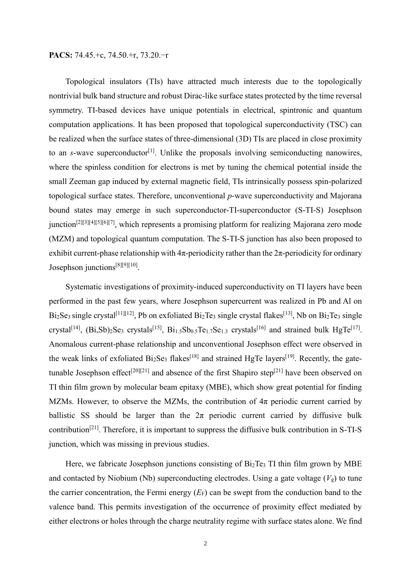## **PACS:** 74.45.+c, 74.50.+r, 73.20.−r

Topological insulators (TIs) have attracted much interests due to the topologically nontrivial bulk band structure and robust Dirac-like surface states protected by the time reversal symmetry. TI-based devices have unique potentials in electrical, spintronic and quantum computation applications. It has been proposed that topological superconductivity (TSC) can be realized when the surface states of three-dimensional (3D) TIs are placed in close proximity to an *s*-wave superconductor<sup>[\[1\]](#page-9-0)</sup>. Unlike the proposals involving semiconducting nanowires, where the spinless condition for electrons is met by tuning the chemical potential inside the small Zeeman gap induced by external magnetic field, TIs intrinsically possess spin-polarized topological surface states. Therefore, unconventional *p*-wave superconductivity and Majorana bound states may emerge in such superconductor-TI-superconductor (S-TI-S) Josephson junction[\[2\]](#page-9-1)[\[3\]](#page-9-2)[\[4\]](#page-9-3)[\[5\]](#page-9-4)[\[6\]](#page-9-5)[\[7\]](#page-9-6), which represents a promising platform for realizing Majorana zero mode (MZM) and topological quantum computation. The S-TI-S junction has also been proposed to exhibit current-phase relationship with  $4\pi$ -periodicity rather than the  $2\pi$ -periodicity for ordinary Josephson junctions<sup>[\[8\]](#page-9-7)[\[9\]](#page-9-8)[\[10\]](#page-9-9)</sup>.

Systematic investigations of proximity-induced superconductivity on TI layers have been performed in the past few years, where Josephson supercurrent was realized in Pb and Al on  $Bi<sub>2</sub>Se<sub>3</sub> single crystal<sup>[11][12]</sup>, Pb on exfoliated Bi<sub>2</sub>Te<sub>3</sub> single crystal flakes<sup>[13]</sup>, Nb on Bi<sub>2</sub>Te<sub>3</sub> single$  $Bi<sub>2</sub>Se<sub>3</sub> single crystal<sup>[11][12]</sup>, Pb on exfoliated Bi<sub>2</sub>Te<sub>3</sub> single crystal flakes<sup>[13]</sup>, Nb on Bi<sub>2</sub>Te<sub>3</sub> single$  $Bi<sub>2</sub>Se<sub>3</sub> single crystal<sup>[11][12]</sup>, Pb on exfoliated Bi<sub>2</sub>Te<sub>3</sub> single crystal flakes<sup>[13]</sup>, Nb on Bi<sub>2</sub>Te<sub>3</sub> single$  $Bi<sub>2</sub>Se<sub>3</sub> single crystal<sup>[11][12]</sup>, Pb on exfoliated Bi<sub>2</sub>Te<sub>3</sub> single crystal flakes<sup>[13]</sup>, Nb on Bi<sub>2</sub>Te<sub>3</sub> single$  $Bi<sub>2</sub>Se<sub>3</sub> single crystal<sup>[11][12]</sup>, Pb on exfoliated Bi<sub>2</sub>Te<sub>3</sub> single crystal flakes<sup>[13]</sup>, Nb on Bi<sub>2</sub>Te<sub>3</sub> single$  $Bi<sub>2</sub>Se<sub>3</sub> single crystal<sup>[11][12]</sup>, Pb on exfoliated Bi<sub>2</sub>Te<sub>3</sub> single crystal flakes<sup>[13]</sup>, Nb on Bi<sub>2</sub>Te<sub>3</sub> single$ crystal<sup>[\[14\]](#page-9-13)</sup>, (Bi,Sb)<sub>2</sub>Se<sub>3</sub> crystals<sup>[\[15\]](#page-9-14)</sup>, Bi<sub>1.5</sub>Sb<sub>0.5</sub>Te<sub>1.7</sub>Se<sub>1.3</sub> crystals<sup>[\[16\]](#page-9-15)</sup> and strained bulk HgTe<sup>[\[17\]](#page-9-16)</sup>. Anomalous current-phase relationship and unconventional Josephson effect were observed in the weak links of exfoliated  $Bi_2Se_3$  flakes<sup>[\[18\]](#page-9-17)</sup> and strained HgTe layers<sup>[\[19\]](#page-9-18)</sup>. Recently, the gate-tunable Josephson effect<sup>[\[20\]](#page-9-19)[\[21\]](#page-9-20)</sup> and absence of the first Shapiro step<sup>[21]</sup> have been observed on TI thin film grown by molecular beam epitaxy (MBE), which show great potential for finding MZMs. However, to observe the MZMs, the contribution of  $4\pi$  periodic current carried by ballistic SS should be larger than the  $2\pi$  periodic current carried by diffusive bulk contribution<sup>[\[21\]](#page-9-20)</sup>. Therefore, it is important to suppress the diffusive bulk contribution in S-TI-S junction, which was missing in previous studies.

Here, we fabricate Josephson junctions consisting of  $Bi<sub>2</sub>Te<sub>3</sub>$  TI thin film grown by MBE and contacted by Niobium (Nb) superconducting electrodes. Using a gate voltage  $(V_g)$  to tune the carrier concentration, the Fermi energy  $(E_F)$  can be swept from the conduction band to the valence band. This permits investigation of the occurrence of proximity effect mediated by either electrons or holes through the charge neutrality regime with surface states alone. We find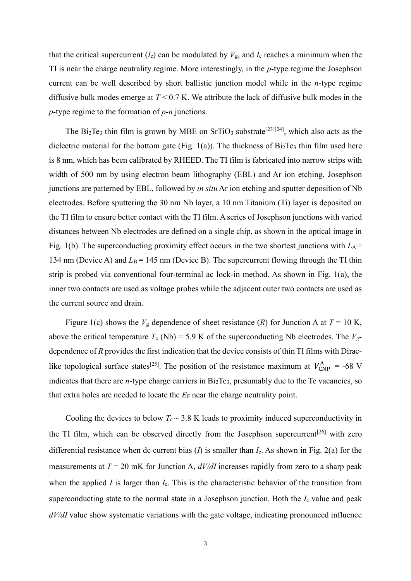that the critical supercurrent  $(I_c)$  can be modulated by  $V_g$ , and  $I_c$  reaches a minimum when the TI is near the charge neutrality regime. More interestingly, in the *p*-type regime the Josephson current can be well described by short ballistic junction model while in the *n*-type regime diffusive bulk modes emerge at *T* < 0.7 K. We attribute the lack of diffusive bulk modes in the *p*-type regime to the formation of *p-n* junctions.

The Bi<sub>2</sub>Te<sub>3</sub> thin film is grown by MBE on SrTiO<sub>3</sub> substrate<sup>[\[23\]](#page-10-0)[\[24\]](#page-10-1)</sup>, which also acts as the dielectric material for the bottom gate (Fig. 1(a)). The thickness of  $Bi<sub>2</sub>Te<sub>3</sub>$  thin film used here is 8 nm, which has been calibrated by RHEED. The TI film is fabricated into narrow strips with width of 500 nm by using electron beam lithography (EBL) and Ar ion etching. Josephson junctions are patterned by EBL, followed by *in situ* Ar ion etching and sputter deposition of Nb electrodes. Before sputtering the 30 nm Nb layer, a 10 nm Titanium (Ti) layer is deposited on the TI film to ensure better contact with the TI film. A series of Josephson junctions with varied distances between Nb electrodes are defined on a single chip, as shown in the optical image in Fig. 1(b). The superconducting proximity effect occurs in the two shortest junctions with  $L_A$  = 134 nm (Device A) and  $L_B$  = 145 nm (Device B). The supercurrent flowing through the TI thin strip is probed via conventional four-terminal ac lock-in method. As shown in Fig. 1(a), the inner two contacts are used as voltage probes while the adjacent outer two contacts are used as the current source and drain.

Figure 1(c) shows the  $V<sub>g</sub>$  dependence of sheet resistance (*R*) for Junction A at  $T = 10$  K, above the critical temperature  $T_c$  (Nb) = 5.9 K of the superconducting Nb electrodes. The  $V_g$ dependence of *R* provides the first indication that the device consists of thin TI films with Dirac-like topological surface states<sup>[\[25\]](#page-10-2)</sup>. The position of the resistance maximum at  $V_{\text{CNP}}^{\text{A}} = -68$  V indicates that there are *n*-type charge carriers in  $Bi<sub>2</sub>Te<sub>3</sub>$ , presumably due to the Te vacancies, so that extra holes are needed to locate the  $E_F$  near the charge neutrality point.

Cooling the devices to below  $T_c \sim 3.8$  K leads to proximity induced superconductivity in the TI film, which can be observed directly from the Josephson supercurrent<sup>[\[26\]](#page-10-3)</sup> with zero differential resistance when dc current bias (*I*) is smaller than *I*c. As shown in Fig. 2(a) for the measurements at  $T = 20$  mK for Junction A,  $dV/dI$  increases rapidly from zero to a sharp peak when the applied *I* is larger than *I<sub>c</sub>*. This is the characteristic behavior of the transition from superconducting state to the normal state in a Josephson junction. Both the *I*<sup>c</sup> value and peak *dV/dI* value show systematic variations with the gate voltage, indicating pronounced influence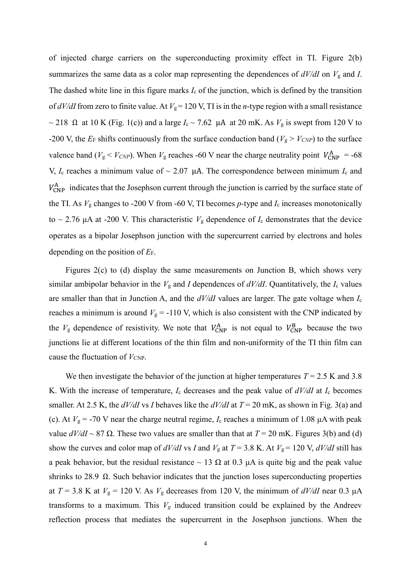of injected charge carriers on the superconducting proximity effect in TI. Figure 2(b) summarizes the same data as a color map representing the dependences of  $dV/dI$  on  $V<sub>g</sub>$  and *I*. The dashed white line in this figure marks *I<sub>c</sub>* of the junction, which is defined by the transition of  $dV/dI$  from zero to finite value. At  $V_g = 120$  V, TI is in the *n*-type region with a small resistance ~ 218 Ω at 10 K (Fig. 1(c)) and a large *I*<sup>c</sup> ~ 7.62 μA at 20 mK. As *V*<sup>g</sup> is swept from 120 V to -200 V, the  $E_F$  shifts continuously from the surface conduction band ( $V_g > V_{CNP}$ ) to the surface valence band ( $V_g < V_{CNP}$ ). When  $V_g$  reaches -60 V near the charge neutrality point  $V_{CNP}^A = -68$ V,  $I_c$  reaches a minimum value of  $\sim$  2.07 μA. The correspondence between minimum  $I_c$  and  $V_{\text{CNP}}^{\text{A}}$  indicates that the Josephson current through the junction is carried by the surface state of the TI. As  $V_g$  changes to -200 V from -60 V, TI becomes *p*-type and  $I_c$  increases monotonically to  $\sim$  2.76 μA at -200 V. This characteristic  $V_g$  dependence of  $I_c$  demonstrates that the device operates as a bipolar Josephson junction with the supercurrent carried by electrons and holes depending on the position of *E*F.

Figures 2(c) to (d) display the same measurements on Junction B, which shows very similar ambipolar behavior in the  $V<sub>g</sub>$  and *I* dependences of  $dV/dI$ . Quantitatively, the  $I<sub>c</sub>$  values are smaller than that in Junction A, and the *dV/dI* values are larger. The gate voltage when *I*<sup>c</sup> reaches a minimum is around  $V_g = -110$  V, which is also consistent with the CNP indicated by the  $V_{\rm g}$  dependence of resistivity. We note that  $V_{\rm CNP}^{\rm A}$  is not equal to  $V_{\rm CNP}^{\rm B}$  because the two junctions lie at different locations of the thin film and non-uniformity of the TI thin film can cause the fluctuation of  $V_{\text{CNP}}$ .

We then investigate the behavior of the junction at higher temperatures  $T = 2.5$  K and 3.8 K. With the increase of temperature, *I*<sup>c</sup> decreases and the peak value of *dV/dI* at *I*<sup>c</sup> becomes smaller. At 2.5 K, the *dV/dI* vs *I* behaves like the *dV/dI* at *T* = 20 mK, as shown in Fig. 3(a) and (c). At  $V_g$  = -70 V near the charge neutral regime,  $I_c$  reaches a minimum of 1.08  $\mu$ A with peak value  $dV/dI \sim 87 \Omega$ . These two values are smaller than that at  $T = 20$  mK. Figures 3(b) and (d) show the curves and color map of  $dV/dI$  vs *I* and  $V_g$  at  $T = 3.8$  K. At  $V_g = 120$  V,  $dV/dI$  still has a peak behavior, but the residual resistance  $\sim$  13  $\Omega$  at 0.3  $\mu$ A is quite big and the peak value shrinks to 28.9  $\Omega$ . Such behavior indicates that the junction loses superconducting properties at  $T = 3.8$  K at  $V_g = 120$  V. As  $V_g$  decreases from 120 V, the minimum of  $dV/dI$  near 0.3  $\mu$ A transforms to a maximum. This  $V_g$  induced transition could be explained by the Andreev reflection process that mediates the supercurrent in the Josephson junctions. When the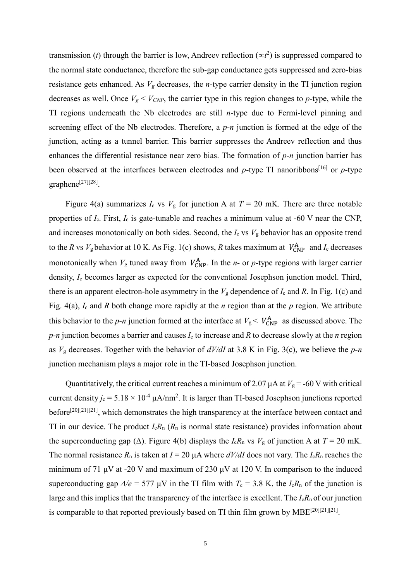transmission (*t*) through the barrier is low, Andreev reflection  $(\alpha t^2)$  is suppressed compared to the normal state conductance, therefore the sub-gap conductance gets suppressed and zero-bias resistance gets enhanced. As *V<sup>g</sup>* decreases, the *n*-type carrier density in the TI junction region decreases as well. Once  $V_g < V_{CNP}$ , the carrier type in this region changes to *p*-type, while the TI regions underneath the Nb electrodes are still *n*-type due to Fermi-level pinning and screening effect of the Nb electrodes. Therefore, a *p*-*n* junction is formed at the edge of the junction, acting as a tunnel barrier. This barrier suppresses the Andreev reflection and thus enhances the differential resistance near zero bias. The formation of *p-n* junction barrier has been observed at the interfaces between electrodes and *p*-type TI nanoribbons<sup>[\[16\]](#page-9-15)</sup> or *p*-type graphene<sup>[\[27\]](#page-10-4)[\[28\]](#page-10-5)</sup>.

Figure 4(a) summarizes  $I_c$  vs  $V_g$  for junction A at  $T = 20$  mK. There are three notable properties of *I*c. First, *I*<sup>c</sup> is gate-tunable and reaches a minimum value at -60 V near the CNP, and increases monotonically on both sides. Second, the  $I_c$  vs  $V_g$  behavior has an opposite trend to the *R* vs  $V_g$  behavior at 10 K. As Fig. 1(c) shows, *R* takes maximum at  $V_{\text{CNP}}^{\text{A}}$  and *I*<sub>c</sub> decreases monotonically when  $V_g$  tuned away from  $V_{\text{CNP}}^{\text{A}}$ . In the *n*- or *p*-type regions with larger carrier density, *I*<sup>c</sup> becomes larger as expected for the conventional Josephson junction model. Third, there is an apparent electron-hole asymmetry in the  $V<sub>g</sub>$  dependence of  $I<sub>c</sub>$  and  $R$ . In Fig. 1(c) and Fig. 4(a), *I*<sup>c</sup> and *R* both change more rapidly at the *n* region than at the *p* region. We attribute this behavior to the *p*-*n* junction formed at the interface at  $V_g < V_{CNP}^A$  as discussed above. The *p-n* junction becomes a barrier and causes *I*<sup>c</sup> to increase and *R* to decrease slowly at the *n* region as *V*<sup>g</sup> decreases. Together with the behavior of *dV/dI* at 3.8 K in Fig. 3(c), we believe the *p-n* junction mechanism plays a major role in the TI-based Josephson junction.

Quantitatively, the critical current reaches a minimum of 2.07  $\mu$ A at  $V_g = -60$  V with critical current density  $j_c = 5.18 \times 10^{-4} \mu A/nm^2$ . It is larger than TI-based Josephson junctions reported before[\[20\]](#page-9-19)[\[21\]\[21\]](#page-9-20), which demonstrates the high transparency at the interface between contact and TI in our device. The product  $I_cR_n$  ( $R_n$  is normal state resistance) provides information about the superconducting gap ( $\Delta$ ). Figure 4(b) displays the *I<sub>c</sub>R<sub>n</sub>* vs  $V_g$  of junction A at  $T = 20$  mK. The normal resistance  $R_n$  is taken at  $I = 20 \mu A$  where  $dV/dI$  does not vary. The  $I_cR_n$  reaches the minimum of 71  $\mu$ V at -20 V and maximum of 230  $\mu$ V at 120 V. In comparison to the induced superconducting gap  $\Delta/e = 577 \mu V$  in the TI film with  $T_c = 3.8 \text{ K}$ , the  $I_cR_n$  of the junction is large and this implies that the transparency of the interface is excellent. The *I*c*R*n of our junction is comparable to that reported previously based on TI thin film grown by  $MBE^{[20][21][21]}$  $MBE^{[20][21][21]}$  $MBE^{[20][21][21]}$  $MBE^{[20][21][21]}$ .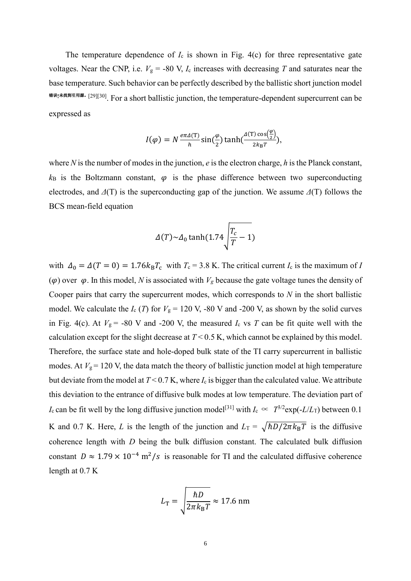The temperature dependence of  $I_c$  is shown in Fig. 4(c) for three representative gate voltages. Near the CNP, i.e.  $V_g = -80$  V,  $I_c$  increases with decreasing *T* and saturates near the base temperature. Such behavior can be perfectly described by the ballistic short junction model 错误**!**未找到引用源。[\[29\]](#page-10-6)[\[30\]](#page-10-7). For a short ballistic junction, the temperature-dependent supercurrent can be expressed as

$$
I(\varphi) = N \frac{e\pi\Delta(T)}{h} \sin(\frac{\varphi}{2}) \tanh(\frac{\Delta(T) \cos(\frac{\varphi}{2})}{2k_{\rm B}T}),
$$

where *N* is the number of modes in the junction, *e* is the electron charge, *h* is the Planck constant,  $k_B$  is the Boltzmann constant,  $\varphi$  is the phase difference between two superconducting electrodes, and *Δ*(T) is the superconducting gap of the junction. We assume *Δ*(T) follows the BCS mean-field equation

$$
\Delta(T) \sim \Delta_0 \tanh(1.74 \sqrt{\frac{T_c}{T} - 1})
$$

with  $\Delta_0 = \Delta (T = 0) = 1.76 k_B T_c$  with  $T_c = 3.8$  K. The critical current  $I_c$  is the maximum of *I* ( $\varphi$ ) over  $\varphi$ . In this model, *N* is associated with  $V_g$  because the gate voltage tunes the density of Cooper pairs that carry the supercurrent modes, which corresponds to *N* in the short ballistic model. We calculate the  $I_c(T)$  for  $V_g = 120$  V, -80 V and -200 V, as shown by the solid curves in Fig. 4(c). At  $V_g = -80$  V and -200 V, the measured  $I_c$  vs T can be fit quite well with the calculation except for the slight decrease at  $T < 0.5$  K, which cannot be explained by this model. Therefore, the surface state and hole-doped bulk state of the TI carry supercurrent in ballistic modes. At  $V_g$  = 120 V, the data match the theory of ballistic junction model at high temperature but deviate from the model at *T* < 0.7 K, where *I*<sup>c</sup> is bigger than the calculated value. We attribute this deviation to the entrance of diffusive bulk modes at low temperature. The deviation part of *I*<sub>c</sub> can be fit well by the long diffusive junction model<sup>[\[31\]](#page-10-8)</sup> with  $I_c \propto T^{3/2}$ exp(-*L*/*L*<sub>T</sub>) between 0.1 K and 0.7 K. Here, *L* is the length of the junction and  $L_T = \sqrt{\hbar D/2\pi k_B T}$  is the diffusive coherence length with *D* being the bulk diffusion constant. The calculated bulk diffusion constant  $D \approx 1.79 \times 10^{-4} \text{ m}^2/\text{s}$  is reasonable for TI and the calculated diffusive coherence length at 0.7 K

$$
L_{\rm T} = \sqrt{\frac{\hbar D}{2\pi k_{\rm B}T}} \approx 17.6 \text{ nm}
$$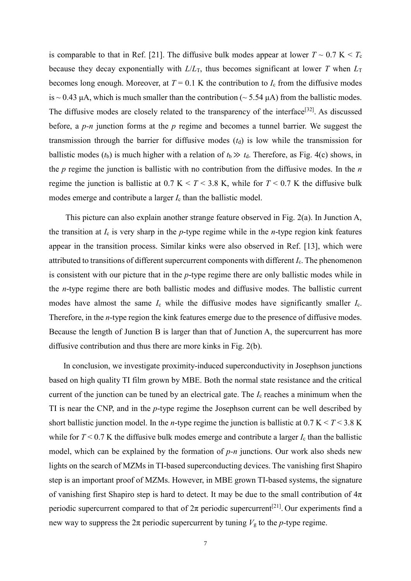is comparable to that in Ref. [\[21\].](#page-9-20) The diffusive bulk modes appear at lower  $T \sim 0.7 \text{ K} < T_c$ because they decay exponentially with  $L/L$ <sub>T</sub>, thus becomes significant at lower *T* when  $L$ <sup>T</sup> becomes long enough. Moreover, at  $T = 0.1$  K the contribution to  $I_c$  from the diffusive modes is  $\sim$  0.43 μA, which is much smaller than the contribution ( $\sim$  5.54 μA) from the ballistic modes. The diffusive modes are closely related to the transparency of the interface<sup>[\[32\]](#page-10-9)</sup>. As discussed before, a *p-n* junction forms at the *p* regime and becomes a tunnel barrier. We suggest the transmission through the barrier for diffusive modes  $(t<sub>d</sub>)$  is low while the transmission for ballistic modes ( $t_b$ ) is much higher with a relation of  $t_b \gg t_d$ . Therefore, as Fig. 4(c) shows, in the *p* regime the junction is ballistic with no contribution from the diffusive modes. In the *n* regime the junction is ballistic at  $0.7 \text{ K} < T < 3.8 \text{ K}$ , while for  $T < 0.7 \text{ K}$  the diffusive bulk modes emerge and contribute a larger *I*<sup>c</sup> than the ballistic model.

This picture can also explain another strange feature observed in Fig. 2(a). In Junction A, the transition at  $I_c$  is very sharp in the *p*-type regime while in the *n*-type region kink features appear in the transition process. Similar kinks were also observed in Ref. [\[13\],](#page-9-12) which were attributed to transitions of different supercurrent components with different *I*c. The phenomenon is consistent with our picture that in the *p*-type regime there are only ballistic modes while in the *n*-type regime there are both ballistic modes and diffusive modes. The ballistic current modes have almost the same *I*<sup>c</sup> while the diffusive modes have significantly smaller *I*c. Therefore, in the *n*-type region the kink features emerge due to the presence of diffusive modes. Because the length of Junction B is larger than that of Junction A, the supercurrent has more diffusive contribution and thus there are more kinks in Fig. 2(b).

In conclusion, we investigate proximity-induced superconductivity in Josephson junctions based on high quality TI film grown by MBE. Both the normal state resistance and the critical current of the junction can be tuned by an electrical gate. The *I*<sup>c</sup> reaches a minimum when the TI is near the CNP, and in the *p*-type regime the Josephson current can be well described by short ballistic junction model. In the *n*-type regime the junction is ballistic at  $0.7 K < T < 3.8 K$ while for  $T \leq 0.7$  K the diffusive bulk modes emerge and contribute a larger  $I_c$  than the ballistic model, which can be explained by the formation of *p-n* junctions. Our work also sheds new lights on the search of MZMs in TI-based superconducting devices. The vanishing first Shapiro step is an important proof of MZMs. However, in MBE grown TI-based systems, the signature of vanishing first Shapiro step is hard to detect. It may be due to the small contribution of  $4\pi$ periodic supercurrent compared to that of  $2\pi$  periodic supercurrent<sup>[\[21\]](#page-9-20)</sup>. Our experiments find a new way to suppress the  $2\pi$  periodic supercurrent by tuning  $V_g$  to the *p*-type regime.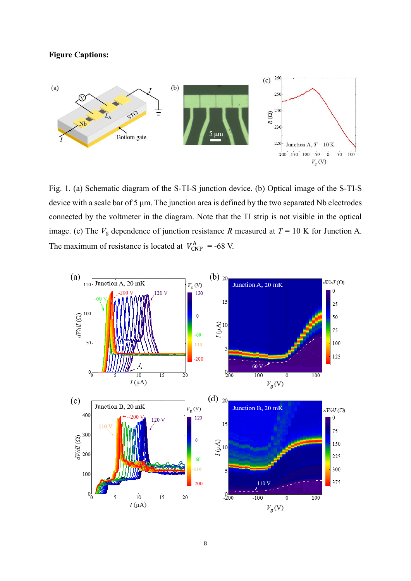## **Figure Captions:**



Fig. 1. (a) Schematic diagram of the S-TI-S junction device. (b) Optical image of the S-TI-S device with a scale bar of 5 μm. The junction area is defined by the two separated Nb electrodes connected by the voltmeter in the diagram. Note that the TI strip is not visible in the optical image. (c) The  $V<sub>g</sub>$  dependence of junction resistance *R* measured at  $T = 10$  K for Junction A. The maximum of resistance is located at  $V_{\text{CNP}}^{\text{A}}$  = -68 V.

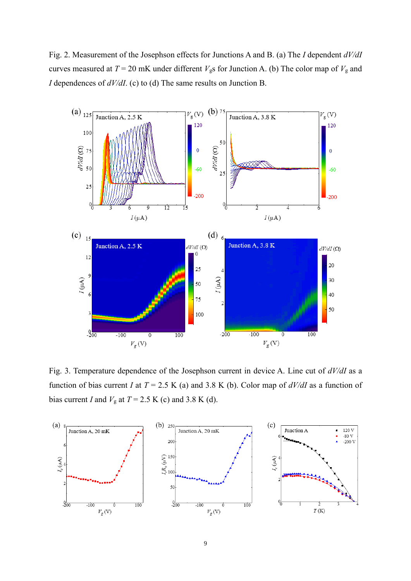Fig. 2. Measurement of the Josephson effects for Junctions A and B. (a) The *I* dependent *dV/dI* curves measured at  $T = 20$  mK under different  $V_{\text{g}}$ s for Junction A. (b) The color map of  $V_{\text{g}}$  and *I* dependences of *dV/dI*. (c) to (d) The same results on Junction B.



Fig. 3. Temperature dependence of the Josephson current in device A. Line cut of *dV/dI* as a function of bias current *I* at  $T = 2.5$  K (a) and 3.8 K (b). Color map of  $dV/dI$  as a function of bias current *I* and  $V_g$  at  $T = 2.5$  K (c) and 3.8 K (d).

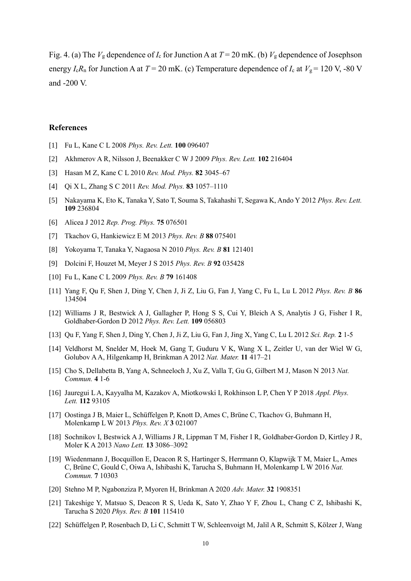Fig. 4. (a) The  $V_g$  dependence of  $I_g$  for Junction A at  $T = 20$  mK. (b)  $V_g$  dependence of Josephson energy  $I_cR_n$  for Junction A at  $T = 20$  mK. (c) Temperature dependence of  $I_c$  at  $V_g = 120$  V, -80 V and -200 V.

## **References**

- <span id="page-9-0"></span>[1] Fu L, Kane C L 2008 *Phys. Rev. Lett.* **100** 096407
- <span id="page-9-1"></span>[2] Akhmerov A R, Nilsson J, Beenakker C W J 2009 *Phys. Rev. Lett.* **102** 216404
- <span id="page-9-2"></span>[3] Hasan M Z, Kane C L 2010 *Rev. Mod. Phys.* **82** 3045–67
- <span id="page-9-3"></span>[4] Qi X L, Zhang S C 2011 *Rev. Mod. Phys.* **83** 1057–1110
- <span id="page-9-4"></span>[5] Nakayama K, Eto K, Tanaka Y, Sato T, Souma S, Takahashi T, Segawa K, Ando Y 2012 *Phys. Rev. Lett.* **109** 236804
- <span id="page-9-5"></span>[6] Alicea J 2012 *Rep. Prog. Phys.* **75** 076501
- <span id="page-9-7"></span><span id="page-9-6"></span>[7] Tkachov G, Hankiewicz E M 2013 *Phys. Rev. B* **88** 075401
- [8] Yokoyama T, Tanaka Y, Nagaosa N 2010 *Phys. Rev. B* **81** 121401
- <span id="page-9-8"></span>[9] Dolcini F, Houzet M, Meyer J S 2015 *Phys. Rev. B* **92** 035428
- <span id="page-9-9"></span>[10] Fu L, Kane C L 2009 *Phys. Rev. B* **79** 161408
- <span id="page-9-10"></span>[11] Yang F, Qu F, Shen J, Ding Y, Chen J, Ji Z, Liu G, Fan J, Yang C, Fu L, Lu L 2012 *Phys. Rev. B* **86** 134504
- <span id="page-9-11"></span>[12] Williams J R, Bestwick A J, Gallagher P, Hong S S, Cui Y, Bleich A S, Analytis J G, Fisher I R, Goldhaber-Gordon D 2012 *Phys. Rev. Lett.* **109** 056803
- <span id="page-9-12"></span>[13] Qu F, Yang F, Shen J, Ding Y, Chen J, Ji Z, Liu G, Fan J, Jing X, Yang C, Lu L 2012 *Sci. Rep.* **2** 1-5
- <span id="page-9-13"></span>[14] Veldhorst M, Snelder M, Hoek M, Gang T, Guduru V K, Wang X L, Zeitler U, van der Wiel W G, Golubov A A, Hilgenkamp H, Brinkman A 2012 *Nat. Mater.* **11** 417–21
- <span id="page-9-14"></span>[15] Cho S, Dellabetta B, Yang A, Schneeloch J, Xu Z, Valla T, Gu G, Gilbert M J, Mason N 2013 *Nat. Commun.* **4** 1-6
- <span id="page-9-15"></span>[16] Jauregui L A, Kayyalha M, Kazakov A, Miotkowski I, Rokhinson L P, Chen Y P 2018 *Appl. Phys. Lett.* **112** 93105
- <span id="page-9-16"></span>[17] Oostinga J B, Maier L, Schüffelgen P, Knott D, Ames C, Brüne C, Tkachov G, Buhmann H, Molenkamp L W 2013 *Phys. Rev. X* **3** 021007
- <span id="page-9-17"></span>[18] Sochnikov I, Bestwick A J, Williams J R, Lippman T M, Fisher I R, Goldhaber-Gordon D, Kirtley J R, Moler K A 2013 *Nano Lett.* **13** 3086–3092
- <span id="page-9-18"></span>[19] Wiedenmann J, Bocquillon E, Deacon R S, Hartinger S, Herrmann O, Klapwijk T M, Maier L, Ames C, Brüne C, Gould C, Oiwa A, Ishibashi K, Tarucha S, Buhmann H, Molenkamp L W 2016 *Nat. Commun.* **7** 10303
- <span id="page-9-19"></span>[20] Stehno M P, Ngabonziza P, Myoren H, Brinkman A 2020 *Adv. Mater.* **32** 1908351
- <span id="page-9-20"></span>[21] Takeshige Y, Matsuo S, Deacon R S, Ueda K, Sato Y, Zhao Y F, Zhou L, Chang C Z, Ishibashi K, Tarucha S 2020 *Phys. Rev. B* **101** 115410
- [22] Schüffelgen P, Rosenbach D, Li C, Schmitt T W, Schleenvoigt M, Jalil A R, Schmitt S, Kölzer J, Wang